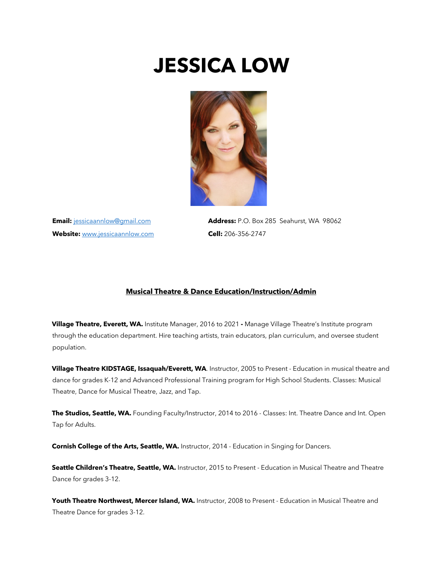# **JESSICA LOW**



Website: www.jessicaannlow.com **Cell:** 206-356-2747

**Email:** jessicaannlow@gmail.com **Address:** P.O. Box 285 Seahurst, WA 98062

### **Musical Theatre & Dance Education/Instruction/Admin**

**Village Theatre, Everett, WA.** Institute Manager, 2016 to 2021 **-** Manage Village Theatre's Institute program through the education department. Hire teaching artists, train educators, plan curriculum, and oversee student population.

**Village Theatre KIDSTAGE, Issaquah/Everett, WA**. Instructor, 2005 to Present - Education in musical theatre and dance for grades K-12 and Advanced Professional Training program for High School Students. Classes: Musical Theatre, Dance for Musical Theatre, Jazz, and Tap.

**The Studios, Seattle, WA.** Founding Faculty/Instructor, 2014 to 2016 - Classes: Int. Theatre Dance and Int. Open Tap for Adults.

**Cornish College of the Arts, Seattle, WA.** Instructor, 2014 - Education in Singing for Dancers.

**Seattle Children's Theatre, Seattle, WA.** Instructor, 2015 to Present - Education in Musical Theatre and Theatre Dance for grades 3-12.

**Youth Theatre Northwest, Mercer Island, WA.** Instructor, 2008 to Present - Education in Musical Theatre and Theatre Dance for grades 3-12.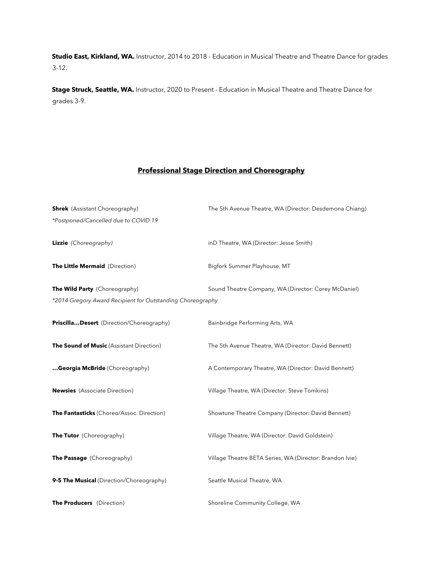**Studio East, Kirkland, WA.** Instructor, 2014 to 2018 - Education in Musical Theatre and Theatre Dance for grades 3-12.

**Stage Struck, Seattle, WA.** Instructor, 2020 to Present - Education in Musical Theatre and Theatre Dance for grades 3-9.

## **Professional Stage Direction and Choreography**

| <b>Shrek</b> (Assistant Choreography)                                                       | The 5th Avenue Theatre, WA (Director: Desdemona Chiang)  |
|---------------------------------------------------------------------------------------------|----------------------------------------------------------|
| *Postponed/Cancelled due to COVID 19                                                        |                                                          |
| Lizzie (Choreography)                                                                       | inD Theatre, WA (Director: Jesse Smith)                  |
| The Little Mermaid (Direction)                                                              | Bigfork Summer Playhouse, MT                             |
| The Wild Party (Choreography)<br>*2014 Gregory Award Recipient for Outstanding Choreography | Sound Theatre Company, WA (Director: Corey McDaniel)     |
| PriscillaDesert (Direction/Choreography)                                                    | Bainbridge Performing Arts, WA                           |
| The Sound of Music (Assistant Direction)                                                    | The 5th Avenue Theatre, WA (Director: David Bennett)     |
| Georgia McBride (Choreography)                                                              | A Contemporary Theatre, WA (Director: David Bennett)     |
| <b>Newsies</b> (Associate Direction)                                                        | Village Theatre, WA (Director: Steve Tomkins)            |
| The Fantasticks (Choreo/Assoc. Direction)                                                   | Showtune Theatre Company (Director: David Bennett)       |
| The Tutor (Choreography)                                                                    | Village Theatre, WA (Director: David Goldstein)          |
| The Passage (Choreography)                                                                  | Village Theatre BETA Series, WA (Director: Brandon Ivie) |
| 9-5 The Musical (Direction/Choreography)                                                    | Seattle Musical Theatre, WA                              |
| The Producers (Direction)                                                                   | Shoreline Community College, WA                          |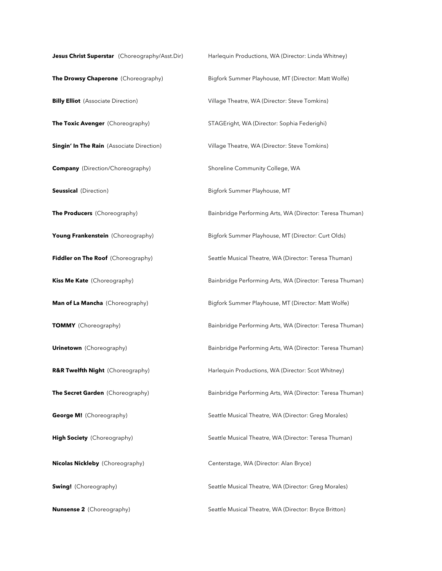| Jesus Christ Superstar (Choreography/Asst.Dir)   | Harlequin Productions, WA (Director: Linda Whitney)      |
|--------------------------------------------------|----------------------------------------------------------|
| The Drowsy Chaperone (Choreography)              | Bigfork Summer Playhouse, MT (Director: Matt Wolfe)      |
| <b>Billy Elliot</b> (Associate Direction)        | Village Theatre, WA (Director: Steve Tomkins)            |
| The Toxic Avenger (Choreography)                 | STAGEright, WA (Director: Sophia Federighi)              |
| <b>Singin' In The Rain</b> (Associate Direction) | Village Theatre, WA (Director: Steve Tomkins)            |
| <b>Company</b> (Direction/Choreography)          | Shoreline Community College, WA                          |
| <b>Seussical</b> (Direction)                     | Bigfork Summer Playhouse, MT                             |
| The Producers (Choreography)                     | Bainbridge Performing Arts, WA (Director: Teresa Thuman) |
| Young Frankenstein (Choreography)                | Bigfork Summer Playhouse, MT (Director: Curt Olds)       |
| Fiddler on The Roof (Choreography)               | Seattle Musical Theatre, WA (Director: Teresa Thuman)    |
| Kiss Me Kate (Choreography)                      | Bainbridge Performing Arts, WA (Director: Teresa Thuman) |
| Man of La Mancha (Choreography)                  | Bigfork Summer Playhouse, MT (Director: Matt Wolfe)      |
| <b>TOMMY</b> (Choreography)                      | Bainbridge Performing Arts, WA (Director: Teresa Thuman) |
| <b>Urinetown</b> (Choreography)                  | Bainbridge Performing Arts, WA (Director: Teresa Thuman) |
| R&R Twelfth Night (Choreography)                 | Harlequin Productions, WA (Director: Scot Whitney)       |
| The Secret Garden (Choreography)                 | Bainbridge Performing Arts, WA (Director: Teresa Thuman) |
| <b>George M!</b> (Choreography)                  | Seattle Musical Theatre, WA (Director: Greg Morales)     |
| High Society (Choreography)                      | Seattle Musical Theatre, WA (Director: Teresa Thuman)    |
| <b>Nicolas Nickleby</b> (Choreography)           | Centerstage, WA (Director: Alan Bryce)                   |
| <b>Swing!</b> (Choreography)                     | Seattle Musical Theatre, WA (Director: Greg Morales)     |
| <b>Nunsense 2</b> (Choreography)                 | Seattle Musical Theatre, WA (Director: Bryce Britton)    |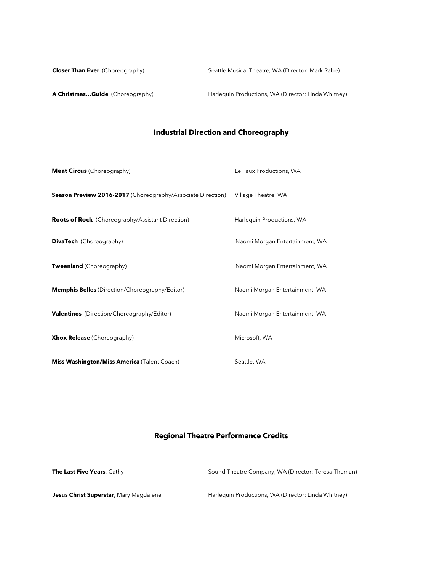**Closer Than Ever** (Choreography) Seattle Musical Theatre, WA (Director: Mark Rabe)

A Christmas... Guide (Choreography) Harlequin Productions, WA (Director: Linda Whitney)

# **Industrial Direction and Choreography**

| <b>Meat Circus</b> (Choreography)                                  | Le Faux Productions, WA        |
|--------------------------------------------------------------------|--------------------------------|
| <b>Season Preview 2016-2017</b> (Choreography/Associate Direction) | Village Theatre, WA            |
| <b>Roots of Rock</b> (Choreography/Assistant Direction)            | Harlequin Productions, WA      |
| <b>DivaTech</b> (Choreography)                                     | Naomi Morgan Entertainment, WA |
| <b>Tweenland</b> (Choreography)                                    | Naomi Morgan Entertainment, WA |
| Memphis Belles (Direction/Choreography/Editor)                     | Naomi Morgan Entertainment, WA |
| <b>Valentinos</b> (Direction/Choreography/Editor)                  | Naomi Morgan Entertainment, WA |
| <b>Xbox Release</b> (Choreography)                                 | Microsoft, WA                  |
| Miss Washington/Miss America (Talent Coach)                        | Seattle, WA                    |

## **Regional Theatre Performance Credits**

| <b>The Last Five Years</b> , Cathy            | Sound Theatre Company, WA (Director: Teresa Thuman) |
|-----------------------------------------------|-----------------------------------------------------|
| <b>Jesus Christ Superstar, Mary Magdalene</b> | Harlequin Productions, WA (Director: Linda Whitney) |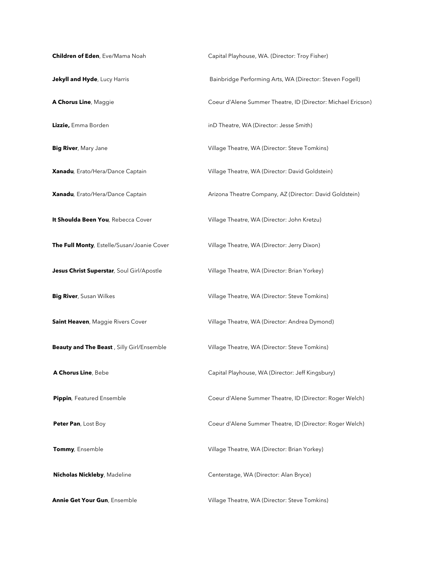**Children of Eden**, Eve/Mama Noah Capital Playhouse, WA. (Director: Troy Fisher) **Jekyll and Hyde**, Lucy Harris **Bainbridge Performing Arts, WA (Director: Steven Fogell)** Bainbridge Performing Arts, WA (Director: Steven Fogell) **A Chorus Line**, Maggie Coeur d'Alene Summer Theatre, ID (Director: Michael Ericson) **Lizzie,** Emma Borden **independent index** inD Theatre, WA (Director: Jesse Smith) **Big River**, Mary Jane **Big River**, Mary Jane **Village Theatre, WA (Director: Steve Tomkins) Xanadu***,* Erato/Hera/Dance Captain Village Theatre, WA (Director: David Goldstein) **Xanadu**, Erato/Hera/Dance Captain **Arizona Theatre Company, AZ (Director: David Goldstein) It Shoulda Been You**, Rebecca Cover Village Theatre, WA (Director: John Kretzu) **The Full Monty**, Estelle/Susan/Joanie Cover Village Theatre, WA (Director: Jerry Dixon) **Jesus Christ Superstar**, Soul Girl/Apostle Village Theatre, WA (Director: Brian Yorkey) **Big River**, Susan Wilkes **Village Theatre, WA (Director: Steve Tomkins)** Village Theatre, WA (Director: Steve Tomkins) **Saint Heaven**, Maggie Rivers Cover **Village Theatre, WA (Director: Andrea Dymond) Beauty and The Beast**, Silly Girl/Ensemble Village Theatre, WA (Director: Steve Tomkins) **A Chorus Line**, Bebe Capital Playhouse, WA (Director: Jeff Kingsbury) **Pippin**, Featured Ensemble **Coeur d'Alene Summer Theatre, ID (Director: Roger Welch) Peter Pan**, Lost Boy Coeur d'Alene Summer Theatre, ID (Director: Roger Welch) **Tommy**, Ensemble **Village Theatre, WA (Director: Brian Yorkey)** Village Theatre, WA (Director: Brian Yorkey) **Nicholas Nickleby**, Madeline **Centerstage**, WA (Director: Alan Bryce) **Annie Get Your Gun**, Ensemble **Village Theatre, WA (Director: Steve Tomkins)**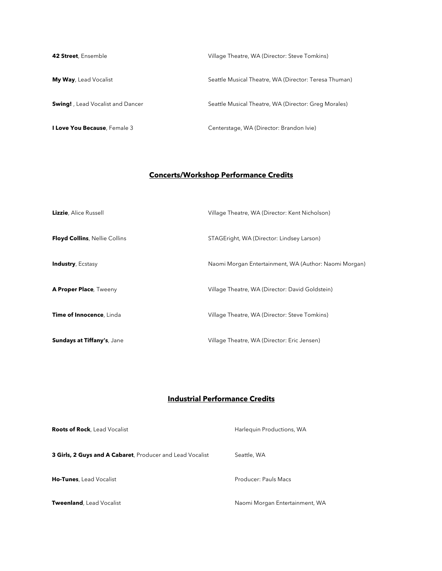| 42 Street, Ensemble                      | Village Theatre, WA (Director: Steve Tomkins)         |
|------------------------------------------|-------------------------------------------------------|
| <b>My Way</b> , Lead Vocalist            | Seattle Musical Theatre, WA (Director: Teresa Thuman) |
| <b>Swing!</b> , Lead Vocalist and Dancer | Seattle Musical Theatre, WA (Director: Greg Morales)  |
| I Love You Because, Female 3             | Centerstage, WA (Director: Brandon Ivie)              |

# **Concerts/Workshop Performance Credits**

| Lizzie, Alice Russell                | Village Theatre, WA (Director: Kent Nicholson)        |
|--------------------------------------|-------------------------------------------------------|
| <b>Floyd Collins, Nellie Collins</b> | STAGEright, WA (Director: Lindsey Larson)             |
| <b>Industry, Ecstasy</b>             | Naomi Morgan Entertainment, WA (Author: Naomi Morgan) |
| <b>A Proper Place, Tweeny</b>        | Village Theatre, WA (Director: David Goldstein)       |
| Time of Innocence, Linda             | Village Theatre, WA (Director: Steve Tomkins)         |
| Sundays at Tiffany's, Jane           | Village Theatre, WA (Director: Eric Jensen)           |

## **Industrial Performance Credits**

| <b>Roots of Rock</b> , Lead Vocalist                      | Harlequin Productions, WA      |
|-----------------------------------------------------------|--------------------------------|
| 3 Girls, 2 Guys and A Cabaret, Producer and Lead Vocalist | Seattle, WA                    |
| <b>Ho-Tunes</b> , Lead Vocalist                           | Producer: Pauls Macs           |
| Tweenland, Lead Vocalist                                  | Naomi Morgan Entertainment, WA |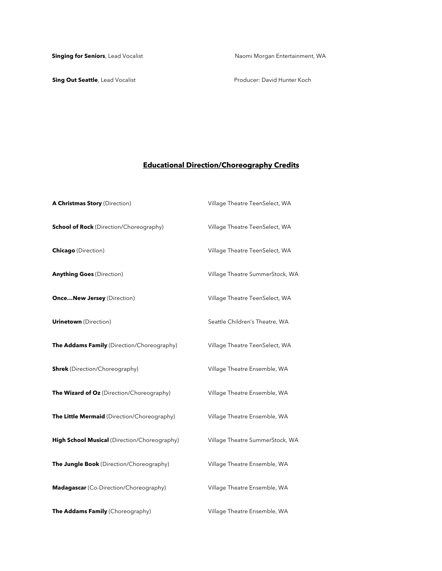**Sing Out Seattle**, Lead Vocalist **All Access 20 August 2018** Producer: David Hunter Koch

# **Educational Direction/Choreography Credits**

| A Christmas Story (Direction)                  | Village Theatre TeenSelect, WA  |
|------------------------------------------------|---------------------------------|
| <b>School of Rock</b> (Direction/Choreography) | Village Theatre TeenSelect, WA  |
| <b>Chicago</b> (Direction)                     | Village Theatre TeenSelect, WA  |
| <b>Anything Goes (Direction)</b>               | Village Theatre SummerStock, WA |
| <b>OnceNew Jersey</b> (Direction)              | Village Theatre TeenSelect, WA  |
| <b>Urinetown</b> (Direction)                   | Seattle Children's Theatre, WA  |
| The Addams Family (Direction/Choreography)     | Village Theatre TeenSelect, WA  |
| <b>Shrek</b> (Direction/Choreography)          | Village Theatre Ensemble, WA    |
| The Wizard of Oz (Direction/Choreography)      | Village Theatre Ensemble, WA    |
| The Little Mermaid (Direction/Choreography)    | Village Theatre Ensemble, WA    |
| High School Musical (Direction/Choreography)   | Village Theatre SummerStock, WA |
| The Jungle Book (Direction/Choreography)       | Village Theatre Ensemble, WA    |
| Madagascar (Co-Direction/Choreography)         | Village Theatre Ensemble, WA    |
| The Addams Family (Choreography)               | Village Theatre Ensemble, WA    |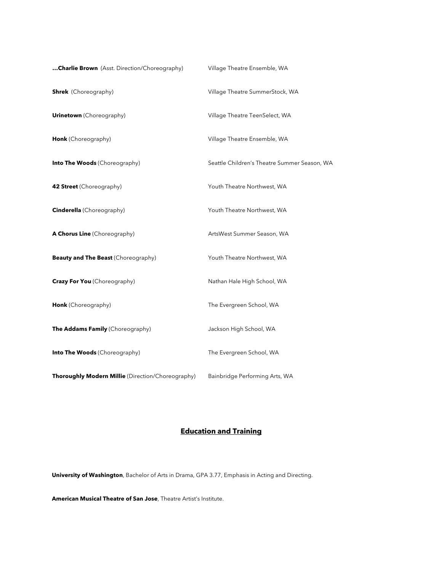| Charlie Brown (Asst. Direction/Choreography)      | Village Theatre Ensemble, WA                 |
|---------------------------------------------------|----------------------------------------------|
| <b>Shrek</b> (Choreography)                       | Village Theatre SummerStock, WA              |
| <b>Urinetown</b> (Choreography)                   | Village Theatre TeenSelect, WA               |
| Honk (Choreography)                               | Village Theatre Ensemble, WA                 |
| <b>Into The Woods (Choreography)</b>              | Seattle Children's Theatre Summer Season, WA |
| 42 Street (Choreography)                          | Youth Theatre Northwest, WA                  |
| <b>Cinderella</b> (Choreography)                  | Youth Theatre Northwest, WA                  |
| A Chorus Line (Choreography)                      | ArtsWest Summer Season, WA                   |
| <b>Beauty and The Beast (Choreography)</b>        | Youth Theatre Northwest, WA                  |
| <b>Crazy For You</b> (Choreography)               | Nathan Hale High School, WA                  |
| Honk (Choreography)                               | The Evergreen School, WA                     |
| The Addams Family (Choreography)                  | Jackson High School, WA                      |
| Into The Woods (Choreography)                     | The Evergreen School, WA                     |
| Thoroughly Modern Millie (Direction/Choreography) | Bainbridge Performing Arts, WA               |

## **Education and Training**

**University of Washington**, Bachelor of Arts in Drama, GPA 3.77, Emphasis in Acting and Directing.

**American Musical Theatre of San Jose**, Theatre Artist's Institute.